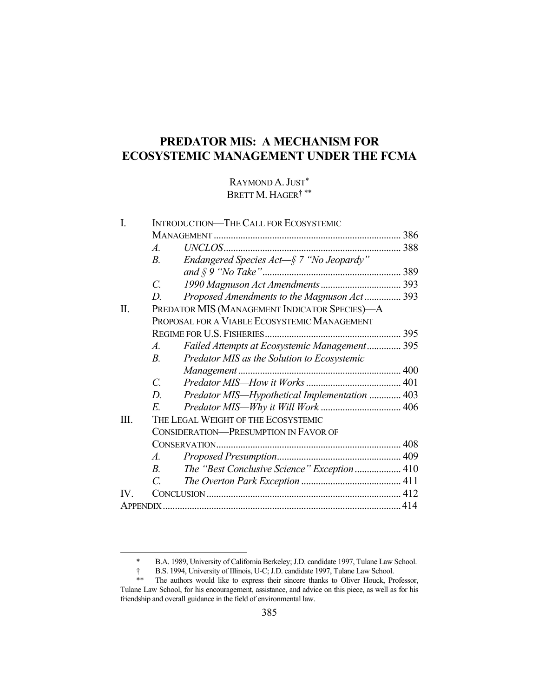# **PREDATOR MIS: A MECHANISM FOR ECOSYSTEMIC MANAGEMENT UNDER THE FCMA**

### RAYMOND A. JUST\* BRETT M. HAGER<sup>†\*\*</sup>

|                                                               | 386                                                                                                                                                                                                                                                                                                                                                           |
|---------------------------------------------------------------|---------------------------------------------------------------------------------------------------------------------------------------------------------------------------------------------------------------------------------------------------------------------------------------------------------------------------------------------------------------|
| $\mathcal{A}_{\cdot}$                                         |                                                                                                                                                                                                                                                                                                                                                               |
| $B_{\cdot}$                                                   |                                                                                                                                                                                                                                                                                                                                                               |
|                                                               |                                                                                                                                                                                                                                                                                                                                                               |
| $\overline{C}$ .                                              |                                                                                                                                                                                                                                                                                                                                                               |
| D.                                                            |                                                                                                                                                                                                                                                                                                                                                               |
|                                                               |                                                                                                                                                                                                                                                                                                                                                               |
| PROPOSAL FOR A VIABLE ECOSYSTEMIC MANAGEMENT                  |                                                                                                                                                                                                                                                                                                                                                               |
|                                                               |                                                                                                                                                                                                                                                                                                                                                               |
| $\mathcal{A}_{\cdot}$                                         |                                                                                                                                                                                                                                                                                                                                                               |
| B <sub>1</sub><br>Predator MIS as the Solution to Ecosystemic |                                                                                                                                                                                                                                                                                                                                                               |
|                                                               |                                                                                                                                                                                                                                                                                                                                                               |
| $\overline{C}$ .                                              |                                                                                                                                                                                                                                                                                                                                                               |
| D.                                                            |                                                                                                                                                                                                                                                                                                                                                               |
| E                                                             |                                                                                                                                                                                                                                                                                                                                                               |
| THE LEGAL WEIGHT OF THE ECOSYSTEMIC                           |                                                                                                                                                                                                                                                                                                                                                               |
| <b>CONSIDERATION-PRESUMPTION IN FAVOR OF</b>                  |                                                                                                                                                                                                                                                                                                                                                               |
|                                                               |                                                                                                                                                                                                                                                                                                                                                               |
| $\mathcal{A}.$                                                |                                                                                                                                                                                                                                                                                                                                                               |
| $B_{\cdot}$                                                   |                                                                                                                                                                                                                                                                                                                                                               |
| $\mathcal{C}_{\mathcal{C}}$                                   |                                                                                                                                                                                                                                                                                                                                                               |
|                                                               |                                                                                                                                                                                                                                                                                                                                                               |
|                                                               |                                                                                                                                                                                                                                                                                                                                                               |
|                                                               | <b>INTRODUCTION-THE CALL FOR ECOSYSTEMIC</b><br>Endangered Species Act-§ 7 "No Jeopardy"<br>Proposed Amendments to the Magnuson Act 393<br>PREDATOR MIS (MANAGEMENT INDICATOR SPECIES)-A<br>Failed Attempts at Ecosystemic Management 395<br>Predator MIS-Hypothetical Implementation  403<br>The "Best Conclusive Science" Exception 410<br><b>APPENDIX.</b> |

 <sup>\*</sup> B.A. 1989, University of California Berkeley; J.D. candidate 1997, Tulane Law School.

 <sup>†</sup> B.S. 1994, University of Illinois, U-C; J.D. candidate 1997, Tulane Law School.

 <sup>\*\*</sup> The authors would like to express their sincere thanks to Oliver Houck, Professor, Tulane Law School, for his encouragement, assistance, and advice on this piece, as well as for his friendship and overall guidance in the field of environmental law.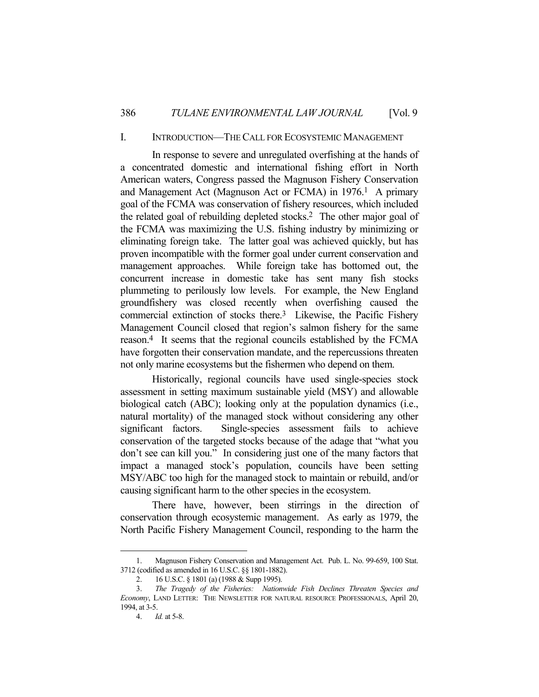### I. INTRODUCTION—THE CALL FOR ECOSYSTEMIC MANAGEMENT

In response to severe and unregulated overfishing at the hands of a concentrated domestic and international fishing effort in North American waters, Congress passed the Magnuson Fishery Conservation and Management Act (Magnuson Act or FCMA) in 1976.<sup>1</sup> A primary goal of the FCMA was conservation of fishery resources, which included the related goal of rebuilding depleted stocks.2 The other major goal of the FCMA was maximizing the U.S. fishing industry by minimizing or eliminating foreign take. The latter goal was achieved quickly, but has proven incompatible with the former goal under current conservation and management approaches. While foreign take has bottomed out, the concurrent increase in domestic take has sent many fish stocks plummeting to perilously low levels. For example, the New England groundfishery was closed recently when overfishing caused the commercial extinction of stocks there.3 Likewise, the Pacific Fishery Management Council closed that region's salmon fishery for the same reason.4 It seems that the regional councils established by the FCMA have forgotten their conservation mandate, and the repercussions threaten not only marine ecosystems but the fishermen who depend on them.

 Historically, regional councils have used single-species stock assessment in setting maximum sustainable yield (MSY) and allowable biological catch (ABC); looking only at the population dynamics (i.e., natural mortality) of the managed stock without considering any other significant factors. Single-species assessment fails to achieve conservation of the targeted stocks because of the adage that "what you don't see can kill you." In considering just one of the many factors that impact a managed stock's population, councils have been setting MSY/ABC too high for the managed stock to maintain or rebuild, and/or causing significant harm to the other species in the ecosystem.

 There have, however, been stirrings in the direction of conservation through ecosystemic management. As early as 1979, the North Pacific Fishery Management Council, responding to the harm the

 <sup>1.</sup> Magnuson Fishery Conservation and Management Act. Pub. L. No. 99-659, 100 Stat. 3712 (codified as amended in 16 U.S.C. §§ 1801-1882).

 <sup>2. 16</sup> U.S.C. § 1801 (a) (1988 & Supp 1995).

 <sup>3.</sup> *The Tragedy of the Fisheries: Nationwide Fish Declines Threaten Species and Economy*, LAND LETTER: THE NEWSLETTER FOR NATURAL RESOURCE PROFESSIONALS, April 20, 1994, at 3-5.

 <sup>4.</sup> *Id.* at 5-8.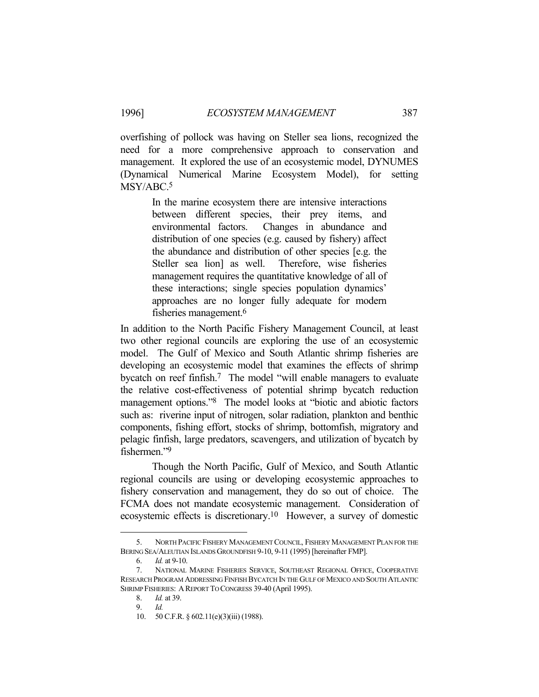overfishing of pollock was having on Steller sea lions, recognized the need for a more comprehensive approach to conservation and management. It explored the use of an ecosystemic model, DYNUMES (Dynamical Numerical Marine Ecosystem Model), for setting MSY/ABC.5

> In the marine ecosystem there are intensive interactions between different species, their prey items, and environmental factors. Changes in abundance and distribution of one species (e.g. caused by fishery) affect the abundance and distribution of other species [e.g. the Steller sea lion] as well. Therefore, wise fisheries management requires the quantitative knowledge of all of these interactions; single species population dynamics' approaches are no longer fully adequate for modern fisheries management.6

In addition to the North Pacific Fishery Management Council, at least two other regional councils are exploring the use of an ecosystemic model. The Gulf of Mexico and South Atlantic shrimp fisheries are developing an ecosystemic model that examines the effects of shrimp bycatch on reef finfish.<sup>7</sup> The model "will enable managers to evaluate the relative cost-effectiveness of potential shrimp bycatch reduction management options."8 The model looks at "biotic and abiotic factors such as: riverine input of nitrogen, solar radiation, plankton and benthic components, fishing effort, stocks of shrimp, bottomfish, migratory and pelagic finfish, large predators, scavengers, and utilization of bycatch by fishermen."9

 Though the North Pacific, Gulf of Mexico, and South Atlantic regional councils are using or developing ecosystemic approaches to fishery conservation and management, they do so out of choice. The FCMA does not mandate ecosystemic management. Consideration of ecosystemic effects is discretionary.10 However, a survey of domestic

 <sup>5.</sup> NORTH PACIFIC FISHERY MANAGEMENT COUNCIL, FISHERY MANAGEMENT PLAN FOR THE BERING SEA/ALEUTIAN ISLANDS GROUNDFISH 9-10, 9-11 (1995) [hereinafter FMP].

 <sup>6.</sup> *Id.* at 9-10.

 <sup>7.</sup> NATIONAL MARINE FISHERIES SERVICE, SOUTHEAST REGIONAL OFFICE, COOPERATIVE RESEARCH PROGRAM ADDRESSING FINFISH BYCATCH IN THE GULF OF MEXICO AND SOUTH ATLANTIC SHRIMP FISHERIES: A REPORT TO CONGRESS 39-40 (April 1995).

 <sup>8.</sup> *Id.* at 39.

 <sup>9.</sup> *Id.* 

<sup>10. 50</sup> C.F.R. § 602.11(e)(3)(iii) (1988).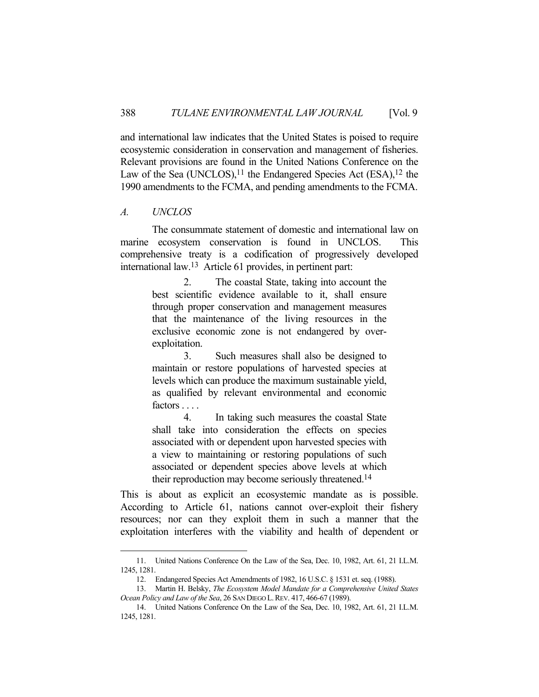and international law indicates that the United States is poised to require ecosystemic consideration in conservation and management of fisheries. Relevant provisions are found in the United Nations Conference on the Law of the Sea (UNCLOS), $11$  the Endangered Species Act (ESA), $12$  the 1990 amendments to the FCMA, and pending amendments to the FCMA.

### *A. UNCLOS*

1

 The consummate statement of domestic and international law on marine ecosystem conservation is found in UNCLOS. This comprehensive treaty is a codification of progressively developed international law.13 Article 61 provides, in pertinent part:

> 2. The coastal State, taking into account the best scientific evidence available to it, shall ensure through proper conservation and management measures that the maintenance of the living resources in the exclusive economic zone is not endangered by overexploitation.

> 3. Such measures shall also be designed to maintain or restore populations of harvested species at levels which can produce the maximum sustainable yield, as qualified by relevant environmental and economic factors . . . .

> 4. In taking such measures the coastal State shall take into consideration the effects on species associated with or dependent upon harvested species with a view to maintaining or restoring populations of such associated or dependent species above levels at which their reproduction may become seriously threatened.14

This is about as explicit an ecosystemic mandate as is possible. According to Article 61, nations cannot over-exploit their fishery resources; nor can they exploit them in such a manner that the exploitation interferes with the viability and health of dependent or

 <sup>11.</sup> United Nations Conference On the Law of the Sea, Dec. 10, 1982, Art. 61, 21 I.L.M. 1245, 1281.

 <sup>12.</sup> Endangered Species Act Amendments of 1982, 16 U.S.C. § 1531 et. seq. (1988).

 <sup>13.</sup> Martin H. Belsky, *The Ecosystem Model Mandate for a Comprehensive United States Ocean Policy and Law of the Sea*, 26 SAN DIEGO L.REV. 417, 466-67 (1989).

 <sup>14.</sup> United Nations Conference On the Law of the Sea, Dec. 10, 1982, Art. 61, 21 I.L.M. 1245, 1281.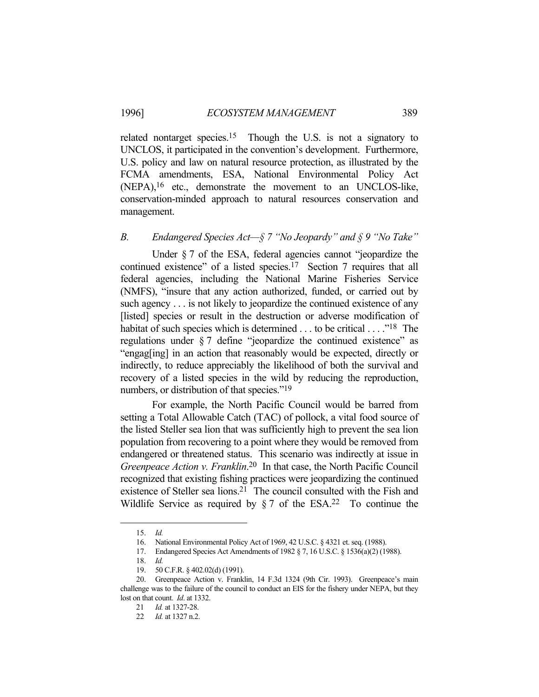related nontarget species.15 Though the U.S. is not a signatory to UNCLOS, it participated in the convention's development. Furthermore, U.S. policy and law on natural resource protection, as illustrated by the FCMA amendments, ESA, National Environmental Policy Act (NEPA),16 etc., demonstrate the movement to an UNCLOS-like, conservation-minded approach to natural resources conservation and management.

## *B. Endangered Species Act—§ 7 "No Jeopardy" and § 9 "No Take"*

Under § 7 of the ESA, federal agencies cannot "jeopardize the continued existence" of a listed species.17 Section 7 requires that all federal agencies, including the National Marine Fisheries Service (NMFS), "insure that any action authorized, funded, or carried out by such agency . . . is not likely to jeopardize the continued existence of any [listed] species or result in the destruction or adverse modification of habitat of such species which is determined . . . to be critical . . . . .<sup>18</sup> The regulations under § 7 define "jeopardize the continued existence" as "engag[ing] in an action that reasonably would be expected, directly or indirectly, to reduce appreciably the likelihood of both the survival and recovery of a listed species in the wild by reducing the reproduction, numbers, or distribution of that species."<sup>19</sup>

For example, the North Pacific Council would be barred from setting a Total Allowable Catch (TAC) of pollock, a vital food source of the listed Steller sea lion that was sufficiently high to prevent the sea lion population from recovering to a point where they would be removed from endangered or threatened status. This scenario was indirectly at issue in *Greenpeace Action v. Franklin*. 20 In that case, the North Pacific Council recognized that existing fishing practices were jeopardizing the continued existence of Steller sea lions.21 The council consulted with the Fish and Wildlife Service as required by  $\S 7$  of the ESA.<sup>22</sup> To continue the

 <sup>15.</sup> *Id.*

 <sup>16.</sup> National Environmental Policy Act of 1969, 42 U.S.C. § 4321 et. seq. (1988).

 <sup>17.</sup> Endangered Species Act Amendments of 1982 § 7, 16 U.S.C. § 1536(a)(2) (1988).

 <sup>18.</sup> *Id.* 

 <sup>19. 50</sup> C.F.R. § 402.02(d) (1991).

 <sup>20.</sup> Greenpeace Action v. Franklin, 14 F.3d 1324 (9th Cir. 1993). Greenpeace's main challenge was to the failure of the council to conduct an EIS for the fishery under NEPA, but they lost on that count. *Id*. at 1332.

 <sup>21</sup> *Id.* at 1327-28.

 <sup>22</sup> *Id.* at 1327 n.2.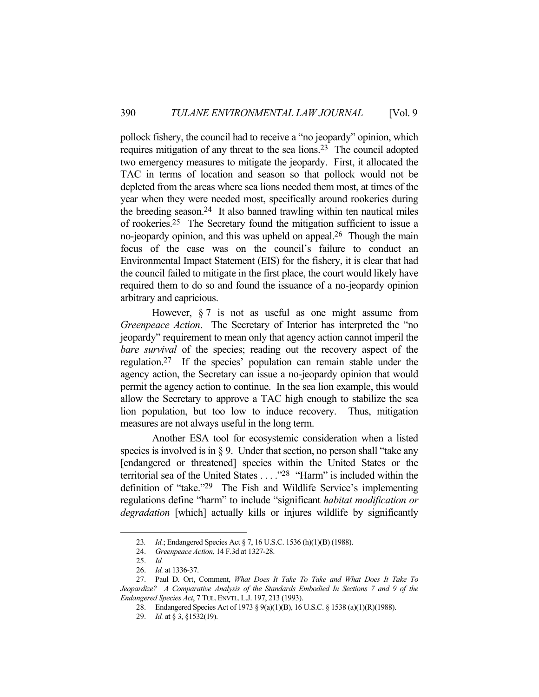pollock fishery, the council had to receive a "no jeopardy" opinion, which requires mitigation of any threat to the sea lions.23 The council adopted two emergency measures to mitigate the jeopardy. First, it allocated the TAC in terms of location and season so that pollock would not be depleted from the areas where sea lions needed them most, at times of the year when they were needed most, specifically around rookeries during the breeding season.24 It also banned trawling within ten nautical miles of rookeries.25 The Secretary found the mitigation sufficient to issue a no-jeopardy opinion, and this was upheld on appeal.<sup>26</sup> Though the main focus of the case was on the council's failure to conduct an Environmental Impact Statement (EIS) for the fishery, it is clear that had the council failed to mitigate in the first place, the court would likely have required them to do so and found the issuance of a no-jeopardy opinion arbitrary and capricious.

However,  $\S 7$  is not as useful as one might assume from *Greenpeace Action*. The Secretary of Interior has interpreted the "no jeopardy" requirement to mean only that agency action cannot imperil the *bare survival* of the species; reading out the recovery aspect of the regulation.27 If the species' population can remain stable under the agency action, the Secretary can issue a no-jeopardy opinion that would permit the agency action to continue. In the sea lion example, this would allow the Secretary to approve a TAC high enough to stabilize the sea lion population, but too low to induce recovery. Thus, mitigation measures are not always useful in the long term.

 Another ESA tool for ecosystemic consideration when a listed species is involved is in  $\S$  9. Under that section, no person shall "take any [endangered or threatened] species within the United States or the territorial sea of the United States . . . ."28 "Harm" is included within the definition of "take."29 The Fish and Wildlife Service's implementing regulations define "harm" to include "significant *habitat modification or degradation* [which] actually kills or injures wildlife by significantly

 <sup>23</sup>*. Id.*; Endangered Species Act § 7, 16 U.S.C. 1536 (h)(1)(B) (1988).

 <sup>24.</sup> *Greenpeace Action*, 14 F.3d at 1327-28.

 <sup>25.</sup> *Id.*

 <sup>26.</sup> *Id.* at 1336-37.

 <sup>27.</sup> Paul D. Ort, Comment, *What Does It Take To Take and What Does It Take To Jeopardize? A Comparative Analysis of the Standards Embodied In Sections 7 and 9 of the Endangered Species Act*, 7 TUL.ENVTL.L.J. 197, 213 (1993).

 <sup>28.</sup> Endangered Species Act of 1973 § 9(a)(1)(B), 16 U.S.C. § 1538 (a)(1)(R)(1988).

 <sup>29.</sup> *Id.* at § 3, §1532(19).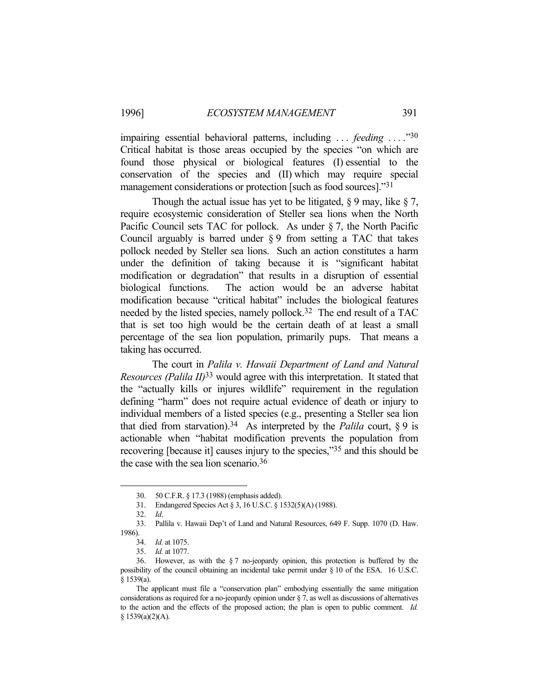impairing essential behavioral patterns, including . . . *feeding . . . .*"30 Critical habitat is those areas occupied by the species "on which are found those physical or biological features (I) essential to the conservation of the species and (II) which may require special management considerations or protection [such as food sources]."31

Though the actual issue has yet to be litigated,  $\S 9$  may, like  $\S 7$ , require ecosystemic consideration of Steller sea lions when the North Pacific Council sets TAC for pollock. As under § 7, the North Pacific Council arguably is barred under § 9 from setting a TAC that takes pollock needed by Steller sea lions. Such an action constitutes a harm under the definition of taking because it is "significant habitat modification or degradation" that results in a disruption of essential biological functions. The action would be an adverse habitat modification because "critical habitat" includes the biological features needed by the listed species, namely pollock.32 The end result of a TAC that is set too high would be the certain death of at least a small percentage of the sea lion population, primarily pups. That means a taking has occurred.

 The court in *Palila v. Hawaii Department of Land and Natural Resources (Palila II)*33 would agree with this interpretation. It stated that the "actually kills or injures wildlife" requirement in the regulation defining "harm" does not require actual evidence of death or injury to individual members of a listed species (e.g., presenting a Steller sea lion that died from starvation).<sup>34</sup> As interpreted by the *Palila* court,  $\S 9$  is actionable when "habitat modification prevents the population from recovering [because it] causes injury to the species,"35 and this should be the case with the sea lion scenario.36

 <sup>30. 50</sup> C.F.R. § 17.3 (1988) (emphasis added).

 <sup>31.</sup> Endangered Species Act § 3, 16 U.S.C. § 1532(5)(A) (1988).

 <sup>32.</sup> *Id*.

 <sup>33.</sup> Pallila v. Hawaii Dep't of Land and Natural Resources, 649 F. Supp. 1070 (D. Haw. 1986).

 <sup>34.</sup> *Id.* at 1075.

 <sup>35.</sup> *Id.* at 1077.

 <sup>36.</sup> However, as with the § 7 no-jeopardy opinion, this protection is buffered by the possibility of the council obtaining an incidental take permit under § 10 of the ESA. 16 U.S.C. § 1539(a).

The applicant must file a "conservation plan" embodying essentially the same mitigation considerations as required for a no-jeopardy opinion under § 7, as well as discussions of alternatives to the action and the effects of the proposed action; the plan is open to public comment. *Id.* § 1539(a)(2)(A).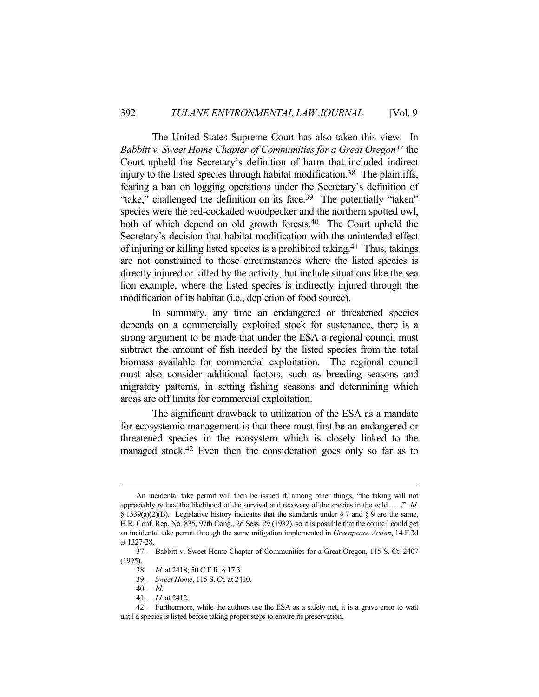The United States Supreme Court has also taken this view. In *Babbitt v. Sweet Home Chapter of Communities for a Great Oregon37* the Court upheld the Secretary's definition of harm that included indirect injury to the listed species through habitat modification.<sup>38</sup> The plaintiffs, fearing a ban on logging operations under the Secretary's definition of "take," challenged the definition on its face.<sup>39</sup> The potentially "taken" species were the red-cockaded woodpecker and the northern spotted owl, both of which depend on old growth forests.<sup>40</sup> The Court upheld the Secretary's decision that habitat modification with the unintended effect of injuring or killing listed species is a prohibited taking.41 Thus, takings are not constrained to those circumstances where the listed species is directly injured or killed by the activity, but include situations like the sea lion example, where the listed species is indirectly injured through the modification of its habitat (i.e., depletion of food source).

 In summary, any time an endangered or threatened species depends on a commercially exploited stock for sustenance, there is a strong argument to be made that under the ESA a regional council must subtract the amount of fish needed by the listed species from the total biomass available for commercial exploitation. The regional council must also consider additional factors, such as breeding seasons and migratory patterns, in setting fishing seasons and determining which areas are off limits for commercial exploitation.

 The significant drawback to utilization of the ESA as a mandate for ecosystemic management is that there must first be an endangered or threatened species in the ecosystem which is closely linked to the managed stock.42 Even then the consideration goes only so far as to

An incidental take permit will then be issued if, among other things, "the taking will not appreciably reduce the likelihood of the survival and recovery of the species in the wild . . . ." *Id.*  $\S 1539(a)(2)(B)$ . Legislative history indicates that the standards under  $\S 7$  and  $\S 9$  are the same, H.R. Conf. Rep. No. 835, 97th Cong., 2d Sess. 29 (1982), so it is possible that the council could get an incidental take permit through the same mitigation implemented in *Greenpeace Action*, 14 F.3d at 1327-28.

 <sup>37.</sup> Babbitt v. Sweet Home Chapter of Communities for a Great Oregon, 115 S. Ct. 2407 (1995).

<sup>38</sup>*. Id.* at 2418; 50 C.F.R. § 17.3.

 <sup>39.</sup> *Sweet Home*, 115 S. Ct. at 2410.

 <sup>40.</sup> *Id*.

 <sup>41.</sup> *Id.* at 2412*.*

 <sup>42.</sup> Furthermore, while the authors use the ESA as a safety net, it is a grave error to wait until a species is listed before taking proper steps to ensure its preservation.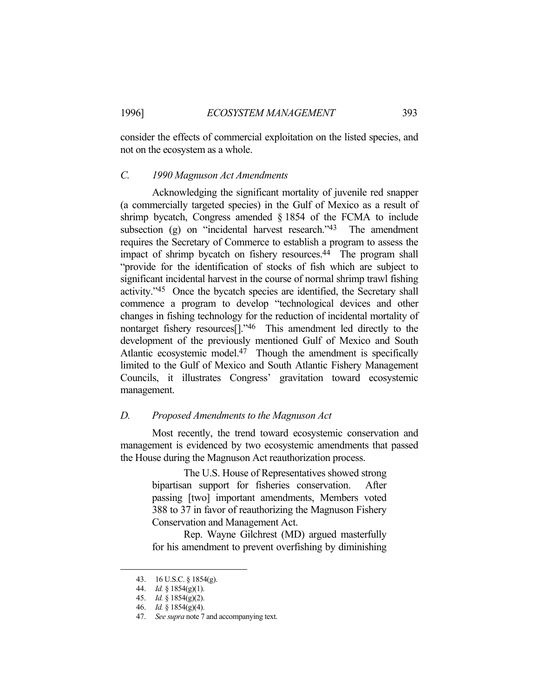consider the effects of commercial exploitation on the listed species, and not on the ecosystem as a whole.

#### *C. 1990 Magnuson Act Amendments*

 Acknowledging the significant mortality of juvenile red snapper (a commercially targeted species) in the Gulf of Mexico as a result of shrimp bycatch, Congress amended § 1854 of the FCMA to include subsection (g) on "incidental harvest research."<sup>43</sup> The amendment requires the Secretary of Commerce to establish a program to assess the impact of shrimp bycatch on fishery resources.<sup>44</sup> The program shall "provide for the identification of stocks of fish which are subject to significant incidental harvest in the course of normal shrimp trawl fishing activity."45 Once the bycatch species are identified, the Secretary shall commence a program to develop "technological devices and other changes in fishing technology for the reduction of incidental mortality of nontarget fishery resources[]."46 This amendment led directly to the development of the previously mentioned Gulf of Mexico and South Atlantic ecosystemic model.<sup>47</sup> Though the amendment is specifically limited to the Gulf of Mexico and South Atlantic Fishery Management Councils, it illustrates Congress' gravitation toward ecosystemic management.

### *D. Proposed Amendments to the Magnuson Act*

 Most recently, the trend toward ecosystemic conservation and management is evidenced by two ecosystemic amendments that passed the House during the Magnuson Act reauthorization process.

> The U.S. House of Representatives showed strong bipartisan support for fisheries conservation. After passing [two] important amendments, Members voted 388 to 37 in favor of reauthorizing the Magnuson Fishery Conservation and Management Act.

> Rep. Wayne Gilchrest (MD) argued masterfully for his amendment to prevent overfishing by diminishing

 <sup>43. 16</sup> U.S.C. § 1854(g).

 <sup>44.</sup> *Id.* § 1854(g)(1).

 <sup>45.</sup> *Id.* § 1854(g)(2).

 <sup>46.</sup> *Id.* § 1854(g)(4).

 <sup>47.</sup> *See supra* note 7 and accompanying text.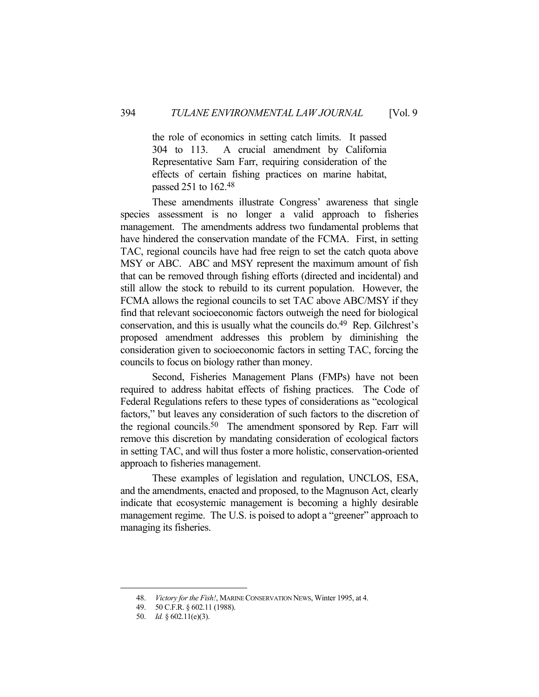the role of economics in setting catch limits. It passed 304 to 113. A crucial amendment by California Representative Sam Farr, requiring consideration of the effects of certain fishing practices on marine habitat, passed 251 to 162.48

 These amendments illustrate Congress' awareness that single species assessment is no longer a valid approach to fisheries management. The amendments address two fundamental problems that have hindered the conservation mandate of the FCMA. First, in setting TAC, regional councils have had free reign to set the catch quota above MSY or ABC. ABC and MSY represent the maximum amount of fish that can be removed through fishing efforts (directed and incidental) and still allow the stock to rebuild to its current population. However, the FCMA allows the regional councils to set TAC above ABC/MSY if they find that relevant socioeconomic factors outweigh the need for biological conservation, and this is usually what the councils do.<sup>49</sup> Rep. Gilchrest's proposed amendment addresses this problem by diminishing the consideration given to socioeconomic factors in setting TAC, forcing the councils to focus on biology rather than money.

 Second, Fisheries Management Plans (FMPs) have not been required to address habitat effects of fishing practices. The Code of Federal Regulations refers to these types of considerations as "ecological factors," but leaves any consideration of such factors to the discretion of the regional councils.50 The amendment sponsored by Rep. Farr will remove this discretion by mandating consideration of ecological factors in setting TAC, and will thus foster a more holistic, conservation-oriented approach to fisheries management.

 These examples of legislation and regulation, UNCLOS, ESA, and the amendments, enacted and proposed, to the Magnuson Act, clearly indicate that ecosystemic management is becoming a highly desirable management regime. The U.S. is poised to adopt a "greener" approach to managing its fisheries.

 <sup>48.</sup> *Victory for the Fish!*, MARINE CONSERVATION NEWS, Winter 1995, at 4.

 <sup>49. 50</sup> C.F.R. § 602.11 (1988).

 <sup>50.</sup> *Id.* § 602.11(e)(3).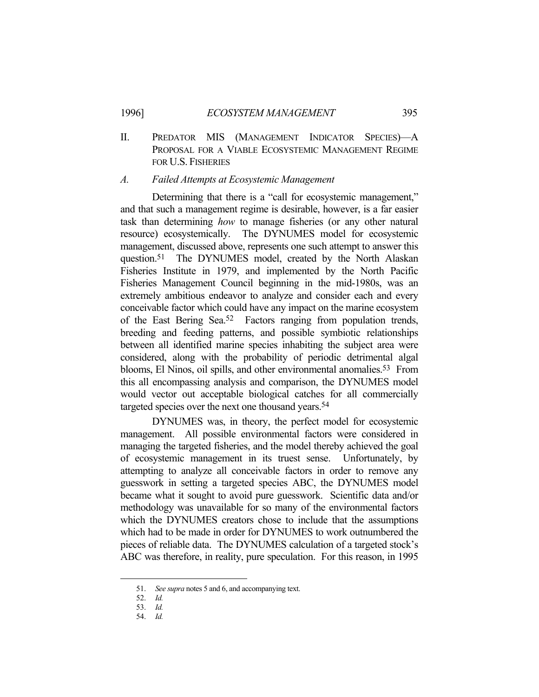II. PREDATOR MIS (MANAGEMENT INDICATOR SPECIES)—A PROPOSAL FOR A VIABLE ECOSYSTEMIC MANAGEMENT REGIME FOR U.S. FISHERIES

### *A. Failed Attempts at Ecosystemic Management*

Determining that there is a "call for ecosystemic management," and that such a management regime is desirable, however, is a far easier task than determining *how* to manage fisheries (or any other natural resource) ecosystemically. The DYNUMES model for ecosystemic management, discussed above, represents one such attempt to answer this question.51 The DYNUMES model, created by the North Alaskan Fisheries Institute in 1979, and implemented by the North Pacific Fisheries Management Council beginning in the mid-1980s, was an extremely ambitious endeavor to analyze and consider each and every conceivable factor which could have any impact on the marine ecosystem of the East Bering Sea.52 Factors ranging from population trends, breeding and feeding patterns, and possible symbiotic relationships between all identified marine species inhabiting the subject area were considered, along with the probability of periodic detrimental algal blooms, El Ninos, oil spills, and other environmental anomalies. 53 From this all encompassing analysis and comparison, the DYNUMES model would vector out acceptable biological catches for all commercially targeted species over the next one thousand years.<sup>54</sup>

 DYNUMES was, in theory, the perfect model for ecosystemic management. All possible environmental factors were considered in managing the targeted fisheries, and the model thereby achieved the goal of ecosystemic management in its truest sense. Unfortunately, by attempting to analyze all conceivable factors in order to remove any guesswork in setting a targeted species ABC, the DYNUMES model became what it sought to avoid pure guesswork. Scientific data and/or methodology was unavailable for so many of the environmental factors which the DYNUMES creators chose to include that the assumptions which had to be made in order for DYNUMES to work outnumbered the pieces of reliable data. The DYNUMES calculation of a targeted stock's ABC was therefore, in reality, pure speculation. For this reason, in 1995

 <sup>51.</sup> *See supra* notes 5 and 6, and accompanying text.

 <sup>52.</sup> *Id.*

 <sup>53.</sup> *Id.*

 <sup>54.</sup> *Id.*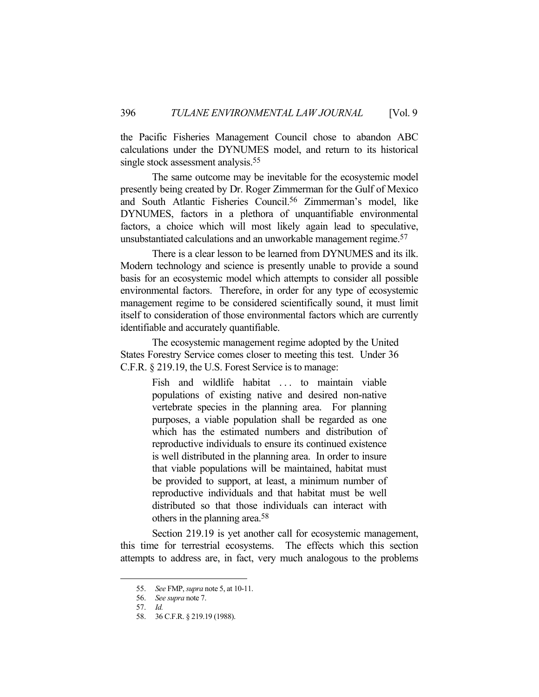the Pacific Fisheries Management Council chose to abandon ABC calculations under the DYNUMES model, and return to its historical single stock assessment analysis.<sup>55</sup>

 The same outcome may be inevitable for the ecosystemic model presently being created by Dr. Roger Zimmerman for the Gulf of Mexico and South Atlantic Fisheries Council.56 Zimmerman's model, like DYNUMES, factors in a plethora of unquantifiable environmental factors, a choice which will most likely again lead to speculative, unsubstantiated calculations and an unworkable management regime.57

 There is a clear lesson to be learned from DYNUMES and its ilk. Modern technology and science is presently unable to provide a sound basis for an ecosystemic model which attempts to consider all possible environmental factors. Therefore, in order for any type of ecosystemic management regime to be considered scientifically sound, it must limit itself to consideration of those environmental factors which are currently identifiable and accurately quantifiable.

 The ecosystemic management regime adopted by the United States Forestry Service comes closer to meeting this test. Under 36 C.F.R. § 219.19, the U.S. Forest Service is to manage:

> Fish and wildlife habitat ... to maintain viable populations of existing native and desired non-native vertebrate species in the planning area. For planning purposes, a viable population shall be regarded as one which has the estimated numbers and distribution of reproductive individuals to ensure its continued existence is well distributed in the planning area. In order to insure that viable populations will be maintained, habitat must be provided to support, at least, a minimum number of reproductive individuals and that habitat must be well distributed so that those individuals can interact with others in the planning area.58

 Section 219.19 is yet another call for ecosystemic management, this time for terrestrial ecosystems. The effects which this section attempts to address are, in fact, very much analogous to the problems

 <sup>55.</sup> *See* FMP, *supra* note 5, at 10-11.

 <sup>56.</sup> *See supra* note 7.

 <sup>57.</sup> *Id.*

 <sup>58. 36</sup> C.F.R. § 219.19 (1988).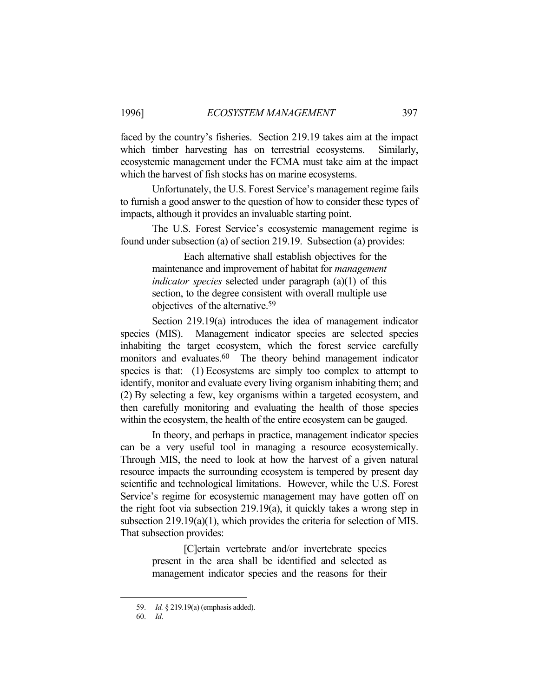faced by the country's fisheries. Section 219.19 takes aim at the impact which timber harvesting has on terrestrial ecosystems. Similarly, ecosystemic management under the FCMA must take aim at the impact which the harvest of fish stocks has on marine ecosystems.

 Unfortunately, the U.S. Forest Service's management regime fails to furnish a good answer to the question of how to consider these types of impacts, although it provides an invaluable starting point.

 The U.S. Forest Service's ecosystemic management regime is found under subsection (a) of section 219.19. Subsection (a) provides:

> Each alternative shall establish objectives for the maintenance and improvement of habitat for *management indicator species* selected under paragraph (a)(1) of this section, to the degree consistent with overall multiple use objectives of the alternative.59

 Section 219.19(a) introduces the idea of management indicator species (MIS). Management indicator species are selected species inhabiting the target ecosystem, which the forest service carefully monitors and evaluates.<sup>60</sup> The theory behind management indicator species is that: (1) Ecosystems are simply too complex to attempt to identify, monitor and evaluate every living organism inhabiting them; and (2) By selecting a few, key organisms within a targeted ecosystem, and then carefully monitoring and evaluating the health of those species within the ecosystem, the health of the entire ecosystem can be gauged.

 In theory, and perhaps in practice, management indicator species can be a very useful tool in managing a resource ecosystemically. Through MIS, the need to look at how the harvest of a given natural resource impacts the surrounding ecosystem is tempered by present day scientific and technological limitations. However, while the U.S. Forest Service's regime for ecosystemic management may have gotten off on the right foot via subsection 219.19(a), it quickly takes a wrong step in subsection 219.19(a)(1), which provides the criteria for selection of MIS. That subsection provides:

> [C]ertain vertebrate and/or invertebrate species present in the area shall be identified and selected as management indicator species and the reasons for their

 <sup>59.</sup> *Id.* § 219.19(a) (emphasis added).

 <sup>60.</sup> *Id*.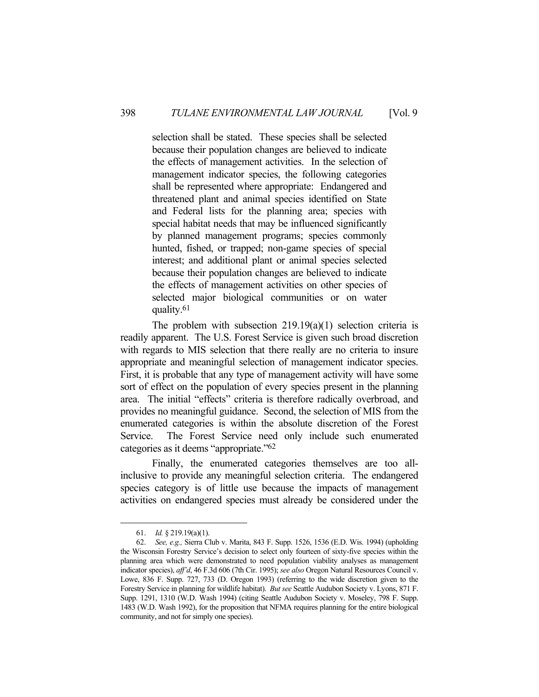selection shall be stated. These species shall be selected because their population changes are believed to indicate the effects of management activities. In the selection of management indicator species, the following categories shall be represented where appropriate: Endangered and threatened plant and animal species identified on State and Federal lists for the planning area; species with special habitat needs that may be influenced significantly by planned management programs; species commonly hunted, fished, or trapped; non-game species of special interest; and additional plant or animal species selected because their population changes are believed to indicate the effects of management activities on other species of selected major biological communities or on water quality.61

The problem with subsection  $219.19(a)(1)$  selection criteria is readily apparent. The U.S. Forest Service is given such broad discretion with regards to MIS selection that there really are no criteria to insure appropriate and meaningful selection of management indicator species. First, it is probable that any type of management activity will have some sort of effect on the population of every species present in the planning area. The initial "effects" criteria is therefore radically overbroad, and provides no meaningful guidance. Second, the selection of MIS from the enumerated categories is within the absolute discretion of the Forest Service. The Forest Service need only include such enumerated categories as it deems "appropriate."62

 Finally, the enumerated categories themselves are too allinclusive to provide any meaningful selection criteria. The endangered species category is of little use because the impacts of management activities on endangered species must already be considered under the

 <sup>61.</sup> *Id.* § 219.19(a)(1).

 <sup>62.</sup> *See, e.g.,* Sierra Club v. Marita, 843 F. Supp. 1526, 1536 (E.D. Wis. 1994) (upholding the Wisconsin Forestry Service's decision to select only fourteen of sixty-five species within the planning area which were demonstrated to need population viability analyses as management indicator species), *aff'd*, 46 F.3d 606 (7th Cir. 1995); *see also* Oregon Natural Resources Council v. Lowe, 836 F. Supp. 727, 733 (D. Oregon 1993) (referring to the wide discretion given to the Forestry Service in planning for wildlife habitat). *But see* Seattle Audubon Society v. Lyons, 871 F. Supp. 1291, 1310 (W.D. Wash 1994) (citing Seattle Audubon Society v. Moseley, 798 F. Supp. 1483 (W.D. Wash 1992), for the proposition that NFMA requires planning for the entire biological community, and not for simply one species).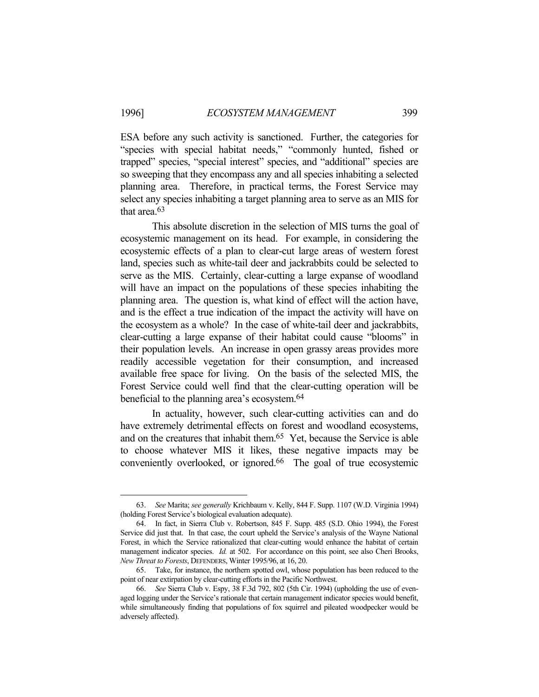1

ESA before any such activity is sanctioned. Further, the categories for "species with special habitat needs," "commonly hunted, fished or trapped" species, "special interest" species, and "additional" species are so sweeping that they encompass any and all species inhabiting a selected planning area. Therefore, in practical terms, the Forest Service may select any species inhabiting a target planning area to serve as an MIS for that area.63

 This absolute discretion in the selection of MIS turns the goal of ecosystemic management on its head. For example, in considering the ecosystemic effects of a plan to clear-cut large areas of western forest land, species such as white-tail deer and jackrabbits could be selected to serve as the MIS. Certainly, clear-cutting a large expanse of woodland will have an impact on the populations of these species inhabiting the planning area. The question is, what kind of effect will the action have, and is the effect a true indication of the impact the activity will have on the ecosystem as a whole? In the case of white-tail deer and jackrabbits, clear-cutting a large expanse of their habitat could cause "blooms" in their population levels. An increase in open grassy areas provides more readily accessible vegetation for their consumption, and increased available free space for living. On the basis of the selected MIS, the Forest Service could well find that the clear-cutting operation will be beneficial to the planning area's ecosystem.64

 In actuality, however, such clear-cutting activities can and do have extremely detrimental effects on forest and woodland ecosystems, and on the creatures that inhabit them.65 Yet, because the Service is able to choose whatever MIS it likes, these negative impacts may be conveniently overlooked, or ignored.<sup>66</sup> The goal of true ecosystemic

 <sup>63.</sup> *See* Marita; *see generally* Krichbaum v. Kelly, 844 F. Supp. 1107 (W.D. Virginia 1994) (holding Forest Service's biological evaluation adequate).

 <sup>64.</sup> In fact, in Sierra Club v. Robertson, 845 F. Supp. 485 (S.D. Ohio 1994), the Forest Service did just that. In that case, the court upheld the Service's analysis of the Wayne National Forest, in which the Service rationalized that clear-cutting would enhance the habitat of certain management indicator species. *Id.* at 502. For accordance on this point, see also Cheri Brooks, *New Threat to Forests*, DEFENDERS, Winter 1995/96, at 16, 20.

 <sup>65.</sup> Take, for instance, the northern spotted owl, whose population has been reduced to the point of near extirpation by clear-cutting efforts in the Pacific Northwest.

 <sup>66.</sup> *See* Sierra Club v. Espy, 38 F.3d 792, 802 (5th Cir. 1994) (upholding the use of evenaged logging under the Service's rationale that certain management indicator species would benefit, while simultaneously finding that populations of fox squirrel and pileated woodpecker would be adversely affected).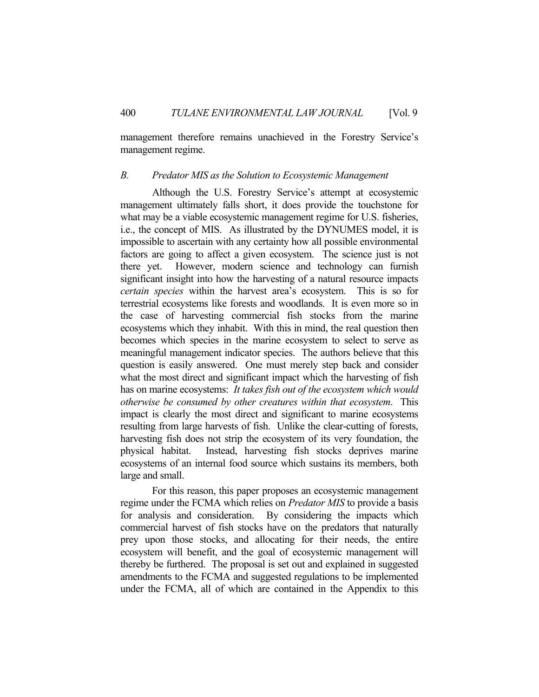management therefore remains unachieved in the Forestry Service's management regime.

#### *B. Predator MIS as the Solution to Ecosystemic Management*

 Although the U.S. Forestry Service's attempt at ecosystemic management ultimately falls short, it does provide the touchstone for what may be a viable ecosystemic management regime for U.S. fisheries, i.e., the concept of MIS. As illustrated by the DYNUMES model, it is impossible to ascertain with any certainty how all possible environmental factors are going to affect a given ecosystem. The science just is not there yet. However, modern science and technology can furnish significant insight into how the harvesting of a natural resource impacts *certain species* within the harvest area's ecosystem. This is so for terrestrial ecosystems like forests and woodlands. It is even more so in the case of harvesting commercial fish stocks from the marine ecosystems which they inhabit. With this in mind, the real question then becomes which species in the marine ecosystem to select to serve as meaningful management indicator species. The authors believe that this question is easily answered. One must merely step back and consider what the most direct and significant impact which the harvesting of fish has on marine ecosystems: *It takes fish out of the ecosystem which would otherwise be consumed by other creatures within that ecosystem*. This impact is clearly the most direct and significant to marine ecosystems resulting from large harvests of fish. Unlike the clear-cutting of forests, harvesting fish does not strip the ecosystem of its very foundation, the physical habitat. Instead, harvesting fish stocks deprives marine ecosystems of an internal food source which sustains its members, both large and small.

 For this reason, this paper proposes an ecosystemic management regime under the FCMA which relies on *Predator MIS* to provide a basis for analysis and consideration. By considering the impacts which commercial harvest of fish stocks have on the predators that naturally prey upon those stocks, and allocating for their needs, the entire ecosystem will benefit, and the goal of ecosystemic management will thereby be furthered. The proposal is set out and explained in suggested amendments to the FCMA and suggested regulations to be implemented under the FCMA, all of which are contained in the Appendix to this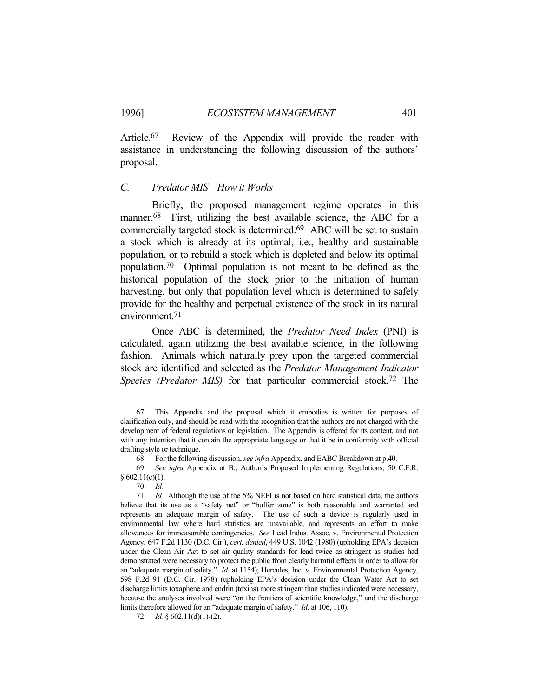Article.67 Review of the Appendix will provide the reader with assistance in understanding the following discussion of the authors' proposal.

#### *C. Predator MIS—How it Works*

 Briefly, the proposed management regime operates in this manner.<sup>68</sup> First, utilizing the best available science, the ABC for a commercially targeted stock is determined.69 ABC will be set to sustain a stock which is already at its optimal, i.e., healthy and sustainable population, or to rebuild a stock which is depleted and below its optimal population.70 Optimal population is not meant to be defined as the historical population of the stock prior to the initiation of human harvesting, but only that population level which is determined to safely provide for the healthy and perpetual existence of the stock in its natural environment.71

 Once ABC is determined, the *Predator Need Index* (PNI) is calculated, again utilizing the best available science, in the following fashion. Animals which naturally prey upon the targeted commercial stock are identified and selected as the *Predator Management Indicator Species (Predator MIS)* for that particular commercial stock.72 The

 <sup>67.</sup> This Appendix and the proposal which it embodies is written for purposes of clarification only, and should be read with the recognition that the authors are not charged with the development of federal regulations or legislation. The Appendix is offered for its content, and not with any intention that it contain the appropriate language or that it be in conformity with official drafting style or technique.

 <sup>68.</sup> For the following discussion, *see infra* Appendix, and EABC Breakdown at p.40.

 <sup>69.</sup> *See infra* Appendix at B., Author's Proposed Implementing Regulations, 50 C.F.R.  $§ 602.11(c)(1).$ 

 <sup>70.</sup> *Id.*

 <sup>71.</sup> *Id.* Although the use of the 5% NEFI is not based on hard statistical data, the authors believe that its use as a "safety net" or "buffer zone" is both reasonable and warranted and represents an adequate margin of safety. The use of such a device is regularly used in environmental law where hard statistics are unavailable, and represents an effort to make allowances for immeasurable contingencies. *See* Lead Indus. Assoc. v. Environmental Protection Agency, 647 F.2d 1130 (D.C. Cir.), *cert. denied*, 449 U.S. 1042 (1980) (upholding EPA's decision under the Clean Air Act to set air quality standards for lead twice as stringent as studies had demonstrated were necessary to protect the public from clearly harmful effects in order to allow for an "adequate margin of safety." *Id.* at 1154); Hercules, Inc. v. Environmental Protection Agency, 598 F.2d 91 (D.C. Cir. 1978) (upholding EPA's decision under the Clean Water Act to set discharge limits toxaphene and endrin (toxins) more stringent than studies indicated were necessary, because the analyses involved were "on the frontiers of scientific knowledge," and the discharge limits therefore allowed for an "adequate margin of safety." *Id.* at 106, 110).

 <sup>72.</sup> *Id.* § 602.11(d)(1)-(2).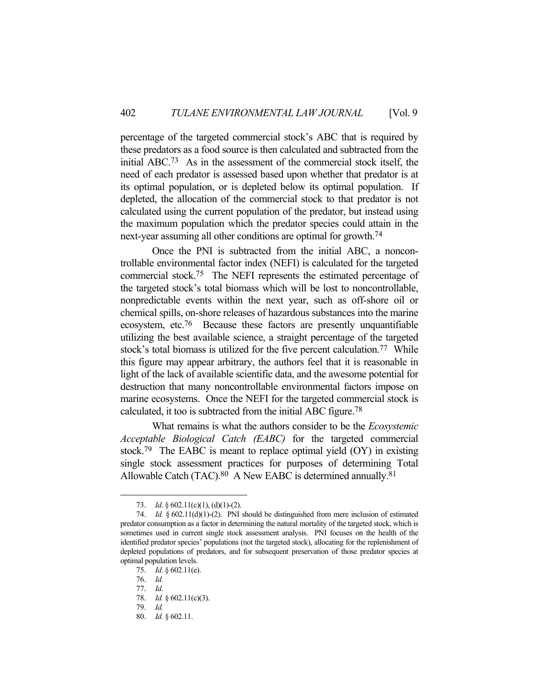percentage of the targeted commercial stock's ABC that is required by these predators as a food source is then calculated and subtracted from the initial ABC.73 As in the assessment of the commercial stock itself, the need of each predator is assessed based upon whether that predator is at its optimal population, or is depleted below its optimal population. If depleted, the allocation of the commercial stock to that predator is not calculated using the current population of the predator, but instead using the maximum population which the predator species could attain in the next-year assuming all other conditions are optimal for growth.74

 Once the PNI is subtracted from the initial ABC, a noncontrollable environmental factor index (NEFI) is calculated for the targeted commercial stock.75 The NEFI represents the estimated percentage of the targeted stock's total biomass which will be lost to noncontrollable, nonpredictable events within the next year, such as off-shore oil or chemical spills, on-shore releases of hazardous substances into the marine ecosystem, etc.76 Because these factors are presently unquantifiable utilizing the best available science, a straight percentage of the targeted stock's total biomass is utilized for the five percent calculation.77 While this figure may appear arbitrary, the authors feel that it is reasonable in light of the lack of available scientific data, and the awesome potential for destruction that many noncontrollable environmental factors impose on marine ecosystems. Once the NEFI for the targeted commercial stock is calculated, it too is subtracted from the initial ABC figure.78

 What remains is what the authors consider to be the *Ecosystemic Acceptable Biological Catch (EABC)* for the targeted commercial stock.79 The EABC is meant to replace optimal yield (OY) in existing single stock assessment practices for purposes of determining Total Allowable Catch (TAC).<sup>80</sup> A New EABC is determined annually.<sup>81</sup>

<sup>73.</sup> *Id.* § 602.11(c)(1), (d)(1)-(2).

 <sup>74.</sup> *Id.* § 602.11(d)(1)-(2). PNI should be distinguished from mere inclusion of estimated predator consumption as a factor in determining the natural mortality of the targeted stock, which is sometimes used in current single stock assessment analysis. PNI focuses on the health of the identified predator species' populations (not the targeted stock), allocating for the replenishment of depleted populations of predators, and for subsequent preservation of those predator species at optimal population levels.

 <sup>75.</sup> *Id*. § 602.11(e).

 <sup>76.</sup> *Id.*

 <sup>77.</sup> *Id.*

 <sup>78.</sup> *Id.* § 602.11(c)(3).

 <sup>79.</sup> *Id.*

 <sup>80.</sup> *Id.* § 602.11.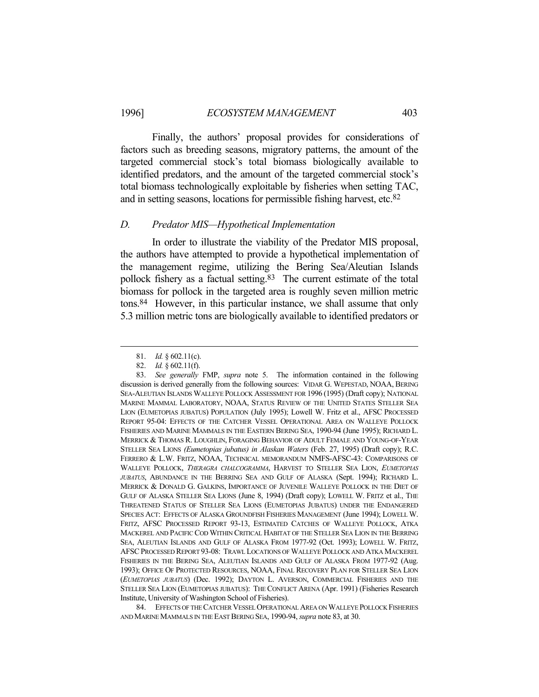Finally, the authors' proposal provides for considerations of factors such as breeding seasons, migratory patterns, the amount of the targeted commercial stock's total biomass biologically available to identified predators, and the amount of the targeted commercial stock's total biomass technologically exploitable by fisheries when setting TAC, and in setting seasons, locations for permissible fishing harvest, etc.82

### *D. Predator MIS—Hypothetical Implementation*

 In order to illustrate the viability of the Predator MIS proposal, the authors have attempted to provide a hypothetical implementation of the management regime, utilizing the Bering Sea/Aleutian Islands pollock fishery as a factual setting.83 The current estimate of the total biomass for pollock in the targeted area is roughly seven million metric tons.84 However, in this particular instance, we shall assume that only 5.3 million metric tons are biologically available to identified predators or

 <sup>81.</sup> *Id.* § 602.11(c).

 <sup>82.</sup> *Id.* § 602.11(f).

 <sup>83.</sup> *See generally* FMP, *supra* note 5. The information contained in the following discussion is derived generally from the following sources: VIDAR G. WEPESTAD, NOAA, BERING SEA-ALEUTIAN ISLANDS WALLEYE POLLOCK ASSESSMENT FOR 1996 (1995) (Draft copy); NATIONAL MARINE MAMMAL LABORATORY, NOAA, STATUS REVIEW OF THE UNITED STATES STELLER SEA LION (EUMETOPIAS JUBATUS) POPULATION (July 1995); Lowell W. Fritz et al., AFSC PROCESSED REPORT 95-04: EFFECTS OF THE CATCHER VESSEL OPERATIONAL AREA ON WALLEYE POLLOCK FISHERIES AND MARINE MAMMALS IN THE EASTERN BERING SEA, 1990-94 (June 1995); RICHARD L. MERRICK & THOMAS R. LOUGHLIN, FORAGING BEHAVIOR OF ADULT FEMALE AND YOUNG-OF-YEAR STELLER SEA LIONS *(Eumetopias jubatus) in Alaskan Waters* (Feb. 27, 1995) (Draft copy); R.C. FERRERO & L.W. FRITZ, NOAA, TECHNICAL MEMORANDUM NMFS-AFSC-43: COMPARISONS OF WALLEYE POLLOCK, *THERAGRA CHALCOGRAMMA*, HARVEST TO STELLER SEA LION, *EUMETOPIAS JUBATUS*, ABUNDANCE IN THE BERRING SEA AND GULF OF ALASKA (Sept. 1994); RICHARD L. MERRICK & DONALD G. GALKINS, IMPORTANCE OF JUVENILE WALLEYE POLLOCK IN THE DIET OF GULF OF ALASKA STELLER SEA LIONS (June 8, 1994) (Draft copy); LOWELL W. FRITZ et al., THE THREATENED STATUS OF STELLER SEA LIONS (EUMETOPIAS JUBATUS) UNDER THE ENDANGERED SPECIES ACT: EFFECTS OF ALASKA GROUNDFISH FISHERIES MANAGEMENT (June 1994); LOWELL W. FRITZ, AFSC PROCESSED REPORT 93-13, ESTIMATED CATCHES OF WALLEYE POLLOCK, ATKA MACKEREL AND PACIFIC COD WITHIN CRITICAL HABITAT OF THE STELLER SEA LION IN THE BERRING SEA, ALEUTIAN ISLANDS AND GULF OF ALASKA FROM 1977-92 (Oct. 1993); LOWELL W. FRITZ, AFSCPROCESSED REPORT 93-08: TRAWL LOCATIONS OF WALLEYE POLLOCK AND ATKA MACKEREL FISHERIES IN THE BERING SEA, ALEUTIAN ISLANDS AND GULF OF ALASKA FROM 1977-92 (Aug. 1993); OFFICE OF PROTECTED RESOURCES, NOAA, FINAL RECOVERY PLAN FOR STELLER SEA LION (*EUMETOPIAS JUBATUS*) (Dec. 1992); DAYTON L. AVERSON, COMMERCIAL FISHERIES AND THE STELLER SEA LION (EUMETOPIAS JUBATUS): THE CONFLICT ARENA (Apr. 1991) (Fisheries Research Institute, University of Washington School of Fisheries).

 <sup>84.</sup> EFFECTS OF THE CATCHER VESSEL OPERATIONAL AREA ON WALLEYE POLLOCK FISHERIES AND MARINE MAMMALS IN THE EAST BERING SEA, 1990-94, *supra* note 83, at 30.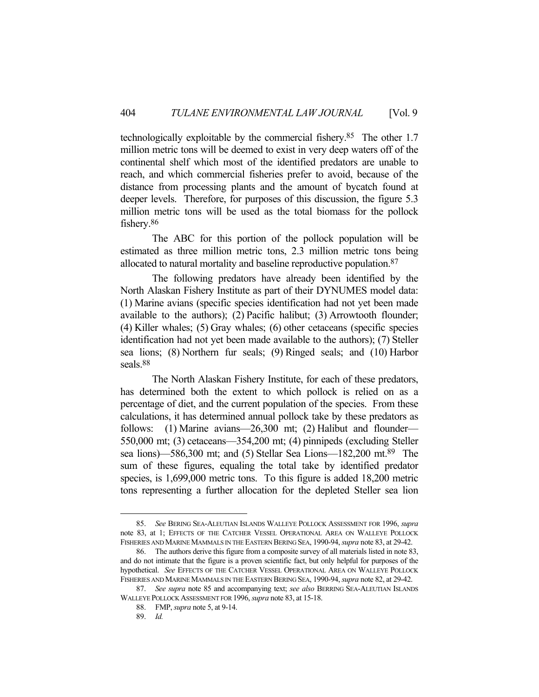technologically exploitable by the commercial fishery.85 The other 1.7 million metric tons will be deemed to exist in very deep waters off of the continental shelf which most of the identified predators are unable to reach, and which commercial fisheries prefer to avoid, because of the distance from processing plants and the amount of bycatch found at deeper levels. Therefore, for purposes of this discussion, the figure 5.3 million metric tons will be used as the total biomass for the pollock fishery.86

 The ABC for this portion of the pollock population will be estimated as three million metric tons, 2.3 million metric tons being allocated to natural mortality and baseline reproductive population.87

 The following predators have already been identified by the North Alaskan Fishery Institute as part of their DYNUMES model data: (1) Marine avians (specific species identification had not yet been made available to the authors); (2) Pacific halibut; (3) Arrowtooth flounder; (4) Killer whales; (5) Gray whales; (6) other cetaceans (specific species identification had not yet been made available to the authors); (7) Steller sea lions; (8) Northern fur seals; (9) Ringed seals; and (10) Harbor seals.88

 The North Alaskan Fishery Institute, for each of these predators, has determined both the extent to which pollock is relied on as a percentage of diet, and the current population of the species. From these calculations, it has determined annual pollock take by these predators as follows: (1) Marine avians—26,300 mt; (2) Halibut and flounder— 550,000 mt; (3) cetaceans—354,200 mt; (4) pinnipeds (excluding Steller sea lions)—586,300 mt; and (5) Stellar Sea Lions—182,200 mt.89 The sum of these figures, equaling the total take by identified predator species, is 1,699,000 metric tons. To this figure is added 18,200 metric tons representing a further allocation for the depleted Steller sea lion

 <sup>85.</sup> *See* BERING SEA-ALEUTIAN ISLANDS WALLEYE POLLOCK ASSESSMENT FOR 1996, *supra*  note 83, at 1; EFFECTS OF THE CATCHER VESSEL OPERATIONAL AREA ON WALLEYE POLLOCK FISHERIES AND MARINE MAMMALS IN THE EASTERN BERING SEA, 1990-94, *supra* note 83, at 29-42.

 <sup>86.</sup> The authors derive this figure from a composite survey of all materials listed in note 83, and do not intimate that the figure is a proven scientific fact, but only helpful for purposes of the hypothetical. *See* EFFECTS OF THE CATCHER VESSEL OPERATIONAL AREA ON WALLEYE POLLOCK FISHERIES AND MARINE MAMMALS IN THE EASTERN BERING SEA, 1990-94, *supra* note 82, at 29-42.

 <sup>87.</sup> *See supra* note 85 and accompanying text; *see also* BERRING SEA-ALEUTIAN ISLANDS WALLEYE POLLOCK ASSESSMENT FOR 1996, *supra* note 83, at 15-18.

 <sup>88.</sup> FMP, *supra* note 5, at 9-14.

 <sup>89.</sup> *Id.*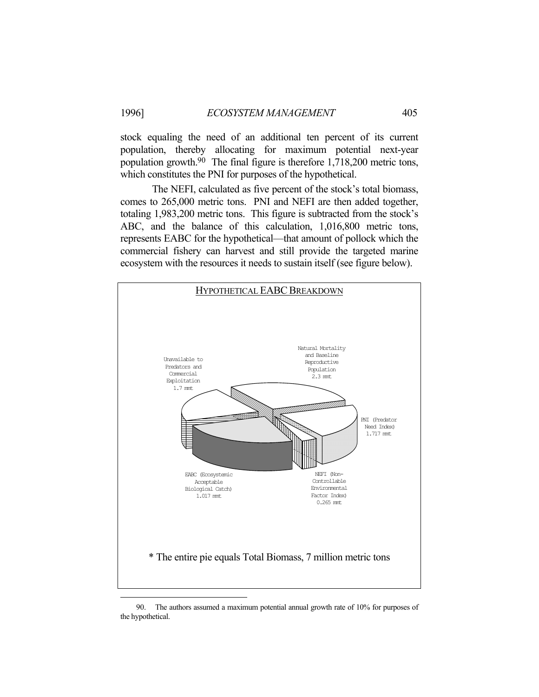stock equaling the need of an additional ten percent of its current population, thereby allocating for maximum potential next-year population growth.90 The final figure is therefore 1,718,200 metric tons, which constitutes the PNI for purposes of the hypothetical.

 The NEFI, calculated as five percent of the stock's total biomass, comes to 265,000 metric tons. PNI and NEFI are then added together, totaling 1,983,200 metric tons. This figure is subtracted from the stock's ABC, and the balance of this calculation, 1,016,800 metric tons, represents EABC for the hypothetical—that amount of pollock which the commercial fishery can harvest and still provide the targeted marine ecosystem with the resources it needs to sustain itself (see figure below).



 <sup>90.</sup> The authors assumed a maximum potential annual growth rate of 10% for purposes of the hypothetical.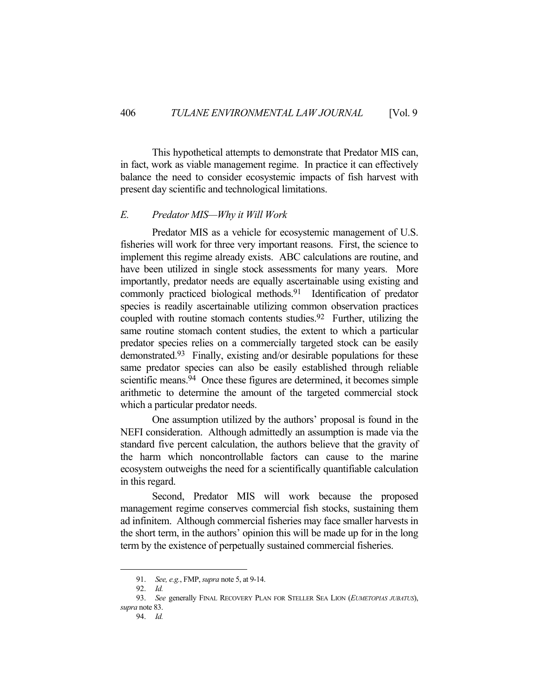This hypothetical attempts to demonstrate that Predator MIS can, in fact, work as viable management regime. In practice it can effectively balance the need to consider ecosystemic impacts of fish harvest with present day scientific and technological limitations.

### *E. Predator MIS—Why it Will Work*

Predator MIS as a vehicle for ecosystemic management of U.S. fisheries will work for three very important reasons. First, the science to implement this regime already exists. ABC calculations are routine, and have been utilized in single stock assessments for many years. More importantly, predator needs are equally ascertainable using existing and commonly practiced biological methods.91 Identification of predator species is readily ascertainable utilizing common observation practices coupled with routine stomach contents studies.92 Further, utilizing the same routine stomach content studies, the extent to which a particular predator species relies on a commercially targeted stock can be easily demonstrated.93 Finally, existing and/or desirable populations for these same predator species can also be easily established through reliable scientific means.<sup>94</sup> Once these figures are determined, it becomes simple arithmetic to determine the amount of the targeted commercial stock which a particular predator needs.

 One assumption utilized by the authors' proposal is found in the NEFI consideration. Although admittedly an assumption is made via the standard five percent calculation, the authors believe that the gravity of the harm which noncontrollable factors can cause to the marine ecosystem outweighs the need for a scientifically quantifiable calculation in this regard.

 Second, Predator MIS will work because the proposed management regime conserves commercial fish stocks, sustaining them ad infinitem. Although commercial fisheries may face smaller harvests in the short term, in the authors' opinion this will be made up for in the long term by the existence of perpetually sustained commercial fisheries.

 <sup>91.</sup> *See, e.g.*, FMP, *supra* note 5, at 9-14.

 <sup>92.</sup> *Id.*

 <sup>93.</sup> *See* generally FINAL RECOVERY PLAN FOR STELLER SEA LION (*EUMETOPIAS JUBATUS*), *supra* note 83.

 <sup>94.</sup> *Id.*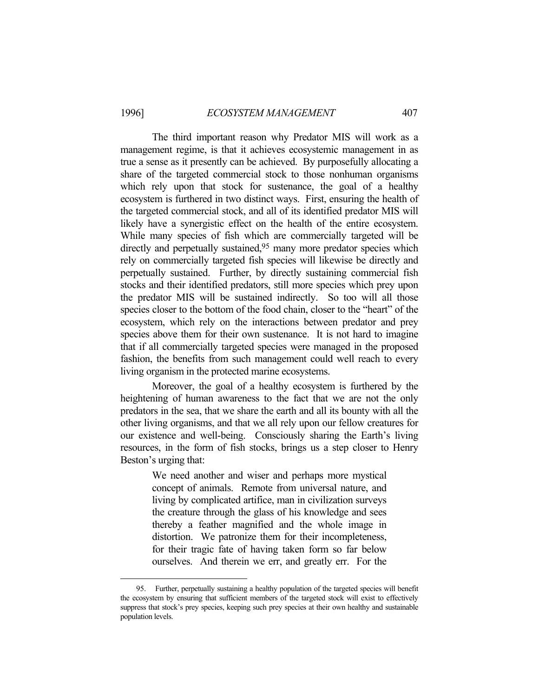<u>.</u>

 The third important reason why Predator MIS will work as a management regime, is that it achieves ecosystemic management in as true a sense as it presently can be achieved. By purposefully allocating a share of the targeted commercial stock to those nonhuman organisms which rely upon that stock for sustenance, the goal of a healthy ecosystem is furthered in two distinct ways. First, ensuring the health of the targeted commercial stock, and all of its identified predator MIS will likely have a synergistic effect on the health of the entire ecosystem. While many species of fish which are commercially targeted will be directly and perpetually sustained,<sup>95</sup> many more predator species which rely on commercially targeted fish species will likewise be directly and perpetually sustained. Further, by directly sustaining commercial fish stocks and their identified predators, still more species which prey upon the predator MIS will be sustained indirectly. So too will all those species closer to the bottom of the food chain, closer to the "heart" of the ecosystem, which rely on the interactions between predator and prey species above them for their own sustenance. It is not hard to imagine that if all commercially targeted species were managed in the proposed fashion, the benefits from such management could well reach to every living organism in the protected marine ecosystems.

 Moreover, the goal of a healthy ecosystem is furthered by the heightening of human awareness to the fact that we are not the only predators in the sea, that we share the earth and all its bounty with all the other living organisms, and that we all rely upon our fellow creatures for our existence and well-being. Consciously sharing the Earth's living resources, in the form of fish stocks, brings us a step closer to Henry Beston's urging that:

> We need another and wiser and perhaps more mystical concept of animals. Remote from universal nature, and living by complicated artifice, man in civilization surveys the creature through the glass of his knowledge and sees thereby a feather magnified and the whole image in distortion. We patronize them for their incompleteness, for their tragic fate of having taken form so far below ourselves. And therein we err, and greatly err. For the

 <sup>95.</sup> Further, perpetually sustaining a healthy population of the targeted species will benefit the ecosystem by ensuring that sufficient members of the targeted stock will exist to effectively suppress that stock's prey species, keeping such prey species at their own healthy and sustainable population levels.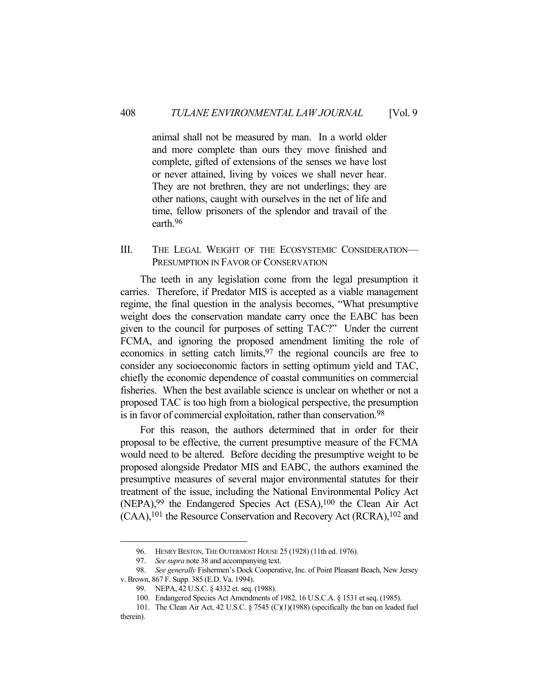animal shall not be measured by man. In a world older and more complete than ours they move finished and complete, gifted of extensions of the senses we have lost or never attained, living by voices we shall never hear. They are not brethren, they are not underlings; they are other nations, caught with ourselves in the net of life and time, fellow prisoners of the splendor and travail of the earth.96

### III. THE LEGAL WEIGHT OF THE ECOSYSTEMIC CONSIDERATION— PRESUMPTION IN FAVOR OF CONSERVATION

 The teeth in any legislation come from the legal presumption it carries. Therefore, if Predator MIS is accepted as a viable management regime, the final question in the analysis becomes, "What presumptive weight does the conservation mandate carry once the EABC has been given to the council for purposes of setting TAC?" Under the current FCMA, and ignoring the proposed amendment limiting the role of economics in setting catch limits, <sup>97</sup> the regional councils are free to consider any socioeconomic factors in setting optimum yield and TAC, chiefly the economic dependence of coastal communities on commercial fisheries. When the best available science is unclear on whether or not a proposed TAC is too high from a biological perspective, the presumption is in favor of commercial exploitation, rather than conservation.<sup>98</sup>

 For this reason, the authors determined that in order for their proposal to be effective, the current presumptive measure of the FCMA would need to be altered. Before deciding the presumptive weight to be proposed alongside Predator MIS and EABC, the authors examined the presumptive measures of several major environmental statutes for their treatment of the issue, including the National Environmental Policy Act (NEPA),99 the Endangered Species Act (ESA),100 the Clean Air Act (CAA),101 the Resource Conservation and Recovery Act (RCRA),102 and

 <sup>96.</sup> HENRY BESTON, THE OUTERMOST HOUSE 25 (1928) (11th ed. 1976).

 <sup>97.</sup> *See supra* note 38 and accompanying text.

 <sup>98.</sup> *See generally* Fishermen's Dock Cooperative, Inc. of Point Pleasant Beach, New Jersey v. Brown, 867 F. Supp. 385 (E.D. Va. 1994).

 <sup>99.</sup> NEPA, 42 U.S.C. § 4332 et. seq. (1988).

 <sup>100.</sup> Endangered Species Act Amendments of 1982, 16 U.S.C.A. § 1531 et seq. (1985).

 <sup>101.</sup> The Clean Air Act, 42 U.S.C. § 7545 (C)(1)(1988) (specifically the ban on leaded fuel therein).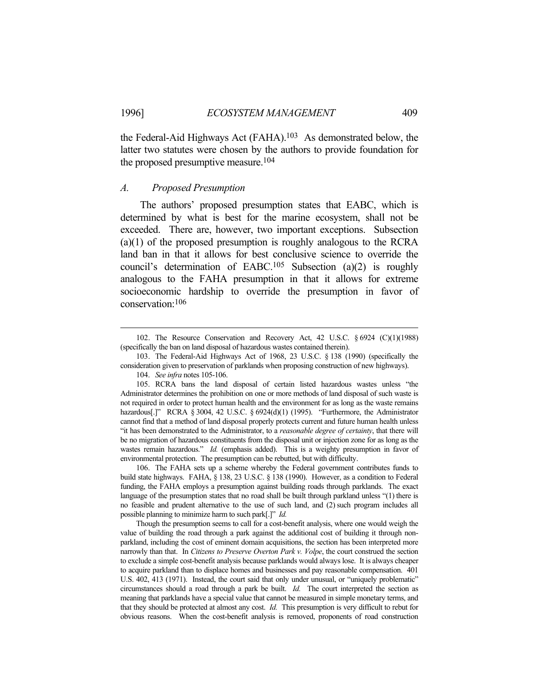the Federal-Aid Highways Act (FAHA).103 As demonstrated below, the latter two statutes were chosen by the authors to provide foundation for the proposed presumptive measure.104

#### *A. Proposed Presumption*

 The authors' proposed presumption states that EABC, which is determined by what is best for the marine ecosystem, shall not be exceeded. There are, however, two important exceptions. Subsection (a)(1) of the proposed presumption is roughly analogous to the RCRA land ban in that it allows for best conclusive science to override the council's determination of EABC.<sup>105</sup> Subsection (a)(2) is roughly analogous to the FAHA presumption in that it allows for extreme socioeconomic hardship to override the presumption in favor of conservation:106

 106. The FAHA sets up a scheme whereby the Federal government contributes funds to build state highways. FAHA, § 138, 23 U.S.C. § 138 (1990). However, as a condition to Federal funding, the FAHA employs a presumption against building roads through parklands. The exact language of the presumption states that no road shall be built through parkland unless "(1) there is no feasible and prudent alternative to the use of such land, and (2) such program includes all possible planning to minimize harm to such park[.]" *Id.*

 Though the presumption seems to call for a cost-benefit analysis, where one would weigh the value of building the road through a park against the additional cost of building it through nonparkland, including the cost of eminent domain acquisitions, the section has been interpreted more narrowly than that. In *Citizens to Preserve Overton Park v. Volpe*, the court construed the section to exclude a simple cost-benefit analysis because parklands would always lose. It is always cheaper to acquire parkland than to displace homes and businesses and pay reasonable compensation. 401 U.S. 402, 413 (1971). Instead, the court said that only under unusual, or "uniquely problematic" circumstances should a road through a park be built. *Id.* The court interpreted the section as meaning that parklands have a special value that cannot be measured in simple monetary terms, and that they should be protected at almost any cost. *Id.* This presumption is very difficult to rebut for obvious reasons. When the cost-benefit analysis is removed, proponents of road construction

 <sup>102.</sup> The Resource Conservation and Recovery Act, 42 U.S.C. § 6924 (C)(1)(1988) (specifically the ban on land disposal of hazardous wastes contained therein).

 <sup>103.</sup> The Federal-Aid Highways Act of 1968, 23 U.S.C. § 138 (1990) (specifically the consideration given to preservation of parklands when proposing construction of new highways).

 <sup>104.</sup> *See infra* notes 105-106.

 <sup>105.</sup> RCRA bans the land disposal of certain listed hazardous wastes unless "the Administrator determines the prohibition on one or more methods of land disposal of such waste is not required in order to protect human health and the environment for as long as the waste remains hazardous[.]" RCRA § 3004, 42 U.S.C. § 6924(d)(1) (1995). "Furthermore, the Administrator cannot find that a method of land disposal properly protects current and future human health unless "it has been demonstrated to the Administrator, to a *reasonable degree of certainty*, that there will be no migration of hazardous constituents from the disposal unit or injection zone for as long as the wastes remain hazardous." *Id.* (emphasis added). This is a weighty presumption in favor of environmental protection. The presumption can be rebutted, but with difficulty.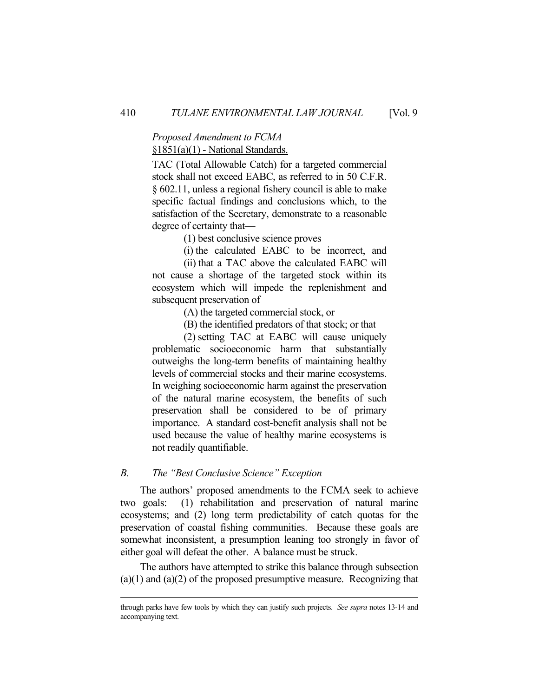## *Proposed Amendment to FCMA* §1851(a)(1) - National Standards.

TAC (Total Allowable Catch) for a targeted commercial stock shall not exceed EABC, as referred to in 50 C.F.R. § 602.11, unless a regional fishery council is able to make specific factual findings and conclusions which, to the satisfaction of the Secretary, demonstrate to a reasonable degree of certainty that—

(1) best conclusive science proves

(i) the calculated EABC to be incorrect, and

 (ii) that a TAC above the calculated EABC will not cause a shortage of the targeted stock within its ecosystem which will impede the replenishment and subsequent preservation of

(A) the targeted commercial stock, or

(B) the identified predators of that stock; or that

 (2) setting TAC at EABC will cause uniquely problematic socioeconomic harm that substantially outweighs the long-term benefits of maintaining healthy levels of commercial stocks and their marine ecosystems. In weighing socioeconomic harm against the preservation of the natural marine ecosystem, the benefits of such preservation shall be considered to be of primary importance. A standard cost-benefit analysis shall not be used because the value of healthy marine ecosystems is not readily quantifiable.

### *B. The "Best Conclusive Science" Exception*

 The authors' proposed amendments to the FCMA seek to achieve two goals: (1) rehabilitation and preservation of natural marine ecosystems; and (2) long term predictability of catch quotas for the preservation of coastal fishing communities. Because these goals are somewhat inconsistent, a presumption leaning too strongly in favor of either goal will defeat the other. A balance must be struck.

 The authors have attempted to strike this balance through subsection  $(a)(1)$  and  $(a)(2)$  of the proposed presumptive measure. Recognizing that

through parks have few tools by which they can justify such projects. *See supra* notes 13-14 and accompanying text.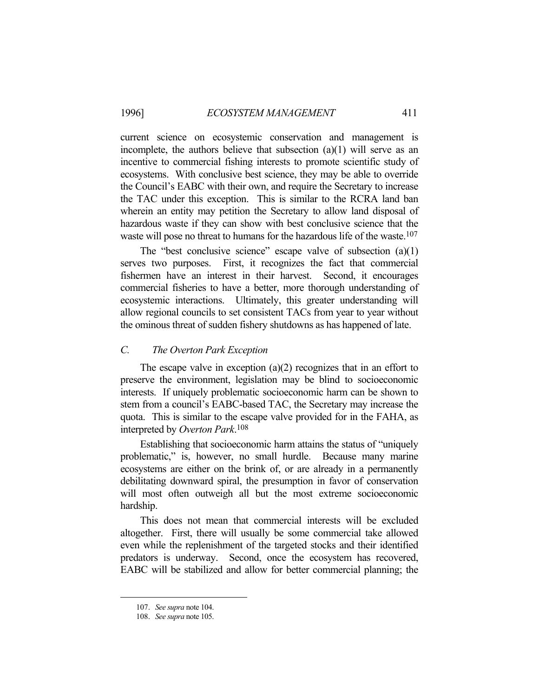current science on ecosystemic conservation and management is incomplete, the authors believe that subsection (a)(1) will serve as an incentive to commercial fishing interests to promote scientific study of ecosystems. With conclusive best science, they may be able to override the Council's EABC with their own, and require the Secretary to increase the TAC under this exception. This is similar to the RCRA land ban wherein an entity may petition the Secretary to allow land disposal of hazardous waste if they can show with best conclusive science that the waste will pose no threat to humans for the hazardous life of the waste.<sup>107</sup>

 The "best conclusive science" escape valve of subsection (a)(1) serves two purposes. First, it recognizes the fact that commercial fishermen have an interest in their harvest. Second, it encourages commercial fisheries to have a better, more thorough understanding of ecosystemic interactions. Ultimately, this greater understanding will allow regional councils to set consistent TACs from year to year without the ominous threat of sudden fishery shutdowns as has happened of late.

### *C. The Overton Park Exception*

The escape valve in exception  $(a)(2)$  recognizes that in an effort to preserve the environment, legislation may be blind to socioeconomic interests. If uniquely problematic socioeconomic harm can be shown to stem from a council's EABC-based TAC, the Secretary may increase the quota. This is similar to the escape valve provided for in the FAHA, as interpreted by *Overton Park*. 108

 Establishing that socioeconomic harm attains the status of "uniquely problematic," is, however, no small hurdle. Because many marine ecosystems are either on the brink of, or are already in a permanently debilitating downward spiral, the presumption in favor of conservation will most often outweigh all but the most extreme socioeconomic hardship.

 This does not mean that commercial interests will be excluded altogether. First, there will usually be some commercial take allowed even while the replenishment of the targeted stocks and their identified predators is underway. Second, once the ecosystem has recovered, EABC will be stabilized and allow for better commercial planning; the

 <sup>107.</sup> *See supra* note 104.

 <sup>108.</sup> *See supra* note 105.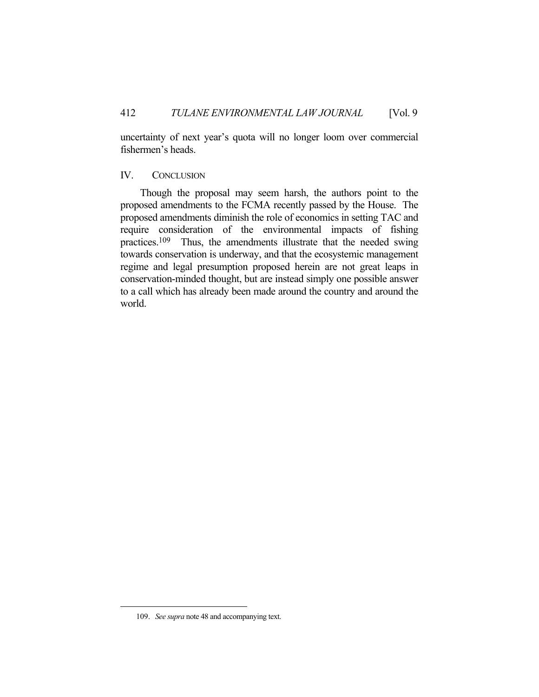uncertainty of next year's quota will no longer loom over commercial fishermen's heads.

### IV. CONCLUSION

 Though the proposal may seem harsh, the authors point to the proposed amendments to the FCMA recently passed by the House. The proposed amendments diminish the role of economics in setting TAC and require consideration of the environmental impacts of fishing practices.109 Thus, the amendments illustrate that the needed swing towards conservation is underway, and that the ecosystemic management regime and legal presumption proposed herein are not great leaps in conservation-minded thought, but are instead simply one possible answer to a call which has already been made around the country and around the world.

 <sup>109.</sup> *See supra* note 48 and accompanying text.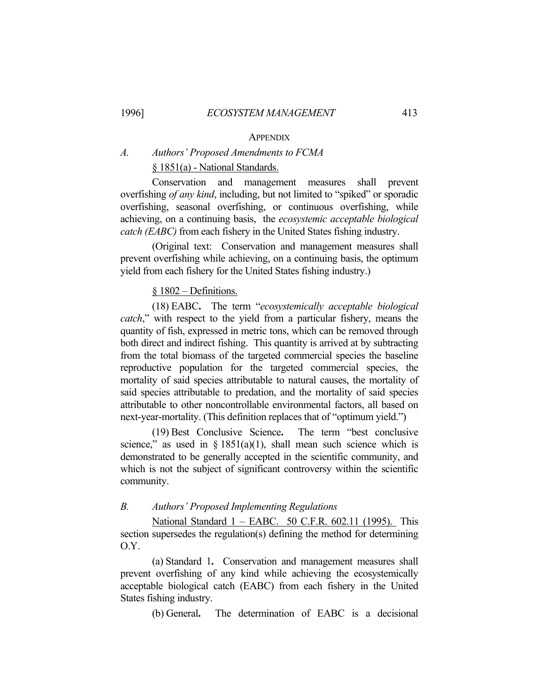#### **APPENDIX**

## *A. Authors' Proposed Amendments to FCMA* § 1851(a) - National Standards.

Conservation and management measures shall prevent overfishing *of any kind*, including, but not limited to "spiked" or sporadic overfishing, seasonal overfishing, or continuous overfishing, while achieving, on a continuing basis, the *ecosystemic acceptable biological catch (EABC)* from each fishery in the United States fishing industry.

(Original text: Conservation and management measures shall prevent overfishing while achieving, on a continuing basis, the optimum yield from each fishery for the United States fishing industry.)

### § 1802 – Definitions.

(18) EABC**.** The term "*ecosystemically acceptable biological catch*," with respect to the yield from a particular fishery, means the quantity of fish, expressed in metric tons, which can be removed through both direct and indirect fishing. This quantity is arrived at by subtracting from the total biomass of the targeted commercial species the baseline reproductive population for the targeted commercial species, the mortality of said species attributable to natural causes, the mortality of said species attributable to predation, and the mortality of said species attributable to other noncontrollable environmental factors, all based on next-year-mortality. (This definition replaces that of "optimum yield.")

 (19) Best Conclusive Science**.** The term "best conclusive science," as used in  $\S 1851(a)(1)$ , shall mean such science which is demonstrated to be generally accepted in the scientific community, and which is not the subject of significant controversy within the scientific community.

### *B. Authors' Proposed Implementing Regulations*

National Standard 1 – EABC. 50 C.F.R. 602.11 (1995). This section supersedes the regulation(s) defining the method for determining O.Y.

 (a) Standard 1**.** Conservation and management measures shall prevent overfishing of any kind while achieving the ecosystemically acceptable biological catch (EABC) from each fishery in the United States fishing industry.

(b) General**.** The determination of EABC is a decisional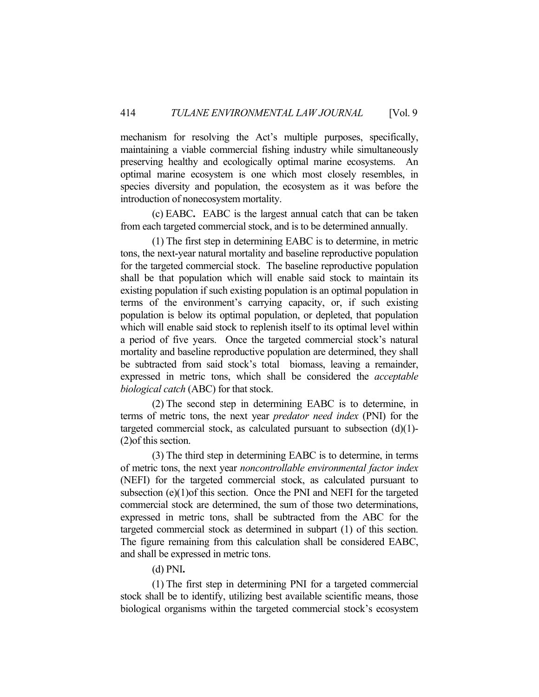mechanism for resolving the Act's multiple purposes, specifically, maintaining a viable commercial fishing industry while simultaneously preserving healthy and ecologically optimal marine ecosystems. An optimal marine ecosystem is one which most closely resembles, in species diversity and population, the ecosystem as it was before the introduction of nonecosystem mortality.

 (c) EABC**.** EABC is the largest annual catch that can be taken from each targeted commercial stock, and is to be determined annually.

 (1) The first step in determining EABC is to determine, in metric tons, the next-year natural mortality and baseline reproductive population for the targeted commercial stock. The baseline reproductive population shall be that population which will enable said stock to maintain its existing population if such existing population is an optimal population in terms of the environment's carrying capacity, or, if such existing population is below its optimal population, or depleted, that population which will enable said stock to replenish itself to its optimal level within a period of five years. Once the targeted commercial stock's natural mortality and baseline reproductive population are determined, they shall be subtracted from said stock's total biomass, leaving a remainder, expressed in metric tons, which shall be considered the *acceptable biological catch* (ABC) for that stock.

 (2) The second step in determining EABC is to determine, in terms of metric tons, the next year *predator need index* (PNI) for the targeted commercial stock, as calculated pursuant to subsection  $(d)(1)$ -(2)of this section.

 (3) The third step in determining EABC is to determine, in terms of metric tons, the next year *noncontrollable environmental factor index* (NEFI) for the targeted commercial stock, as calculated pursuant to subsection (e)(1)of this section. Once the PNI and NEFI for the targeted commercial stock are determined, the sum of those two determinations, expressed in metric tons, shall be subtracted from the ABC for the targeted commercial stock as determined in subpart (1) of this section. The figure remaining from this calculation shall be considered EABC, and shall be expressed in metric tons.

(d) PNI**.**

 (1) The first step in determining PNI for a targeted commercial stock shall be to identify, utilizing best available scientific means, those biological organisms within the targeted commercial stock's ecosystem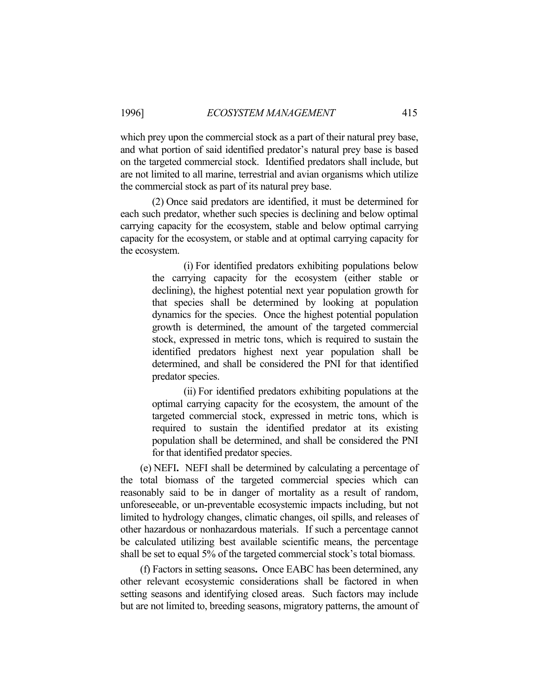which prey upon the commercial stock as a part of their natural prey base, and what portion of said identified predator's natural prey base is based on the targeted commercial stock. Identified predators shall include, but are not limited to all marine, terrestrial and avian organisms which utilize the commercial stock as part of its natural prey base.

 (2) Once said predators are identified, it must be determined for each such predator, whether such species is declining and below optimal carrying capacity for the ecosystem, stable and below optimal carrying capacity for the ecosystem, or stable and at optimal carrying capacity for the ecosystem.

> (i) For identified predators exhibiting populations below the carrying capacity for the ecosystem (either stable or declining), the highest potential next year population growth for that species shall be determined by looking at population dynamics for the species. Once the highest potential population growth is determined, the amount of the targeted commercial stock, expressed in metric tons, which is required to sustain the identified predators highest next year population shall be determined, and shall be considered the PNI for that identified predator species.

> (ii) For identified predators exhibiting populations at the optimal carrying capacity for the ecosystem, the amount of the targeted commercial stock, expressed in metric tons, which is required to sustain the identified predator at its existing population shall be determined, and shall be considered the PNI for that identified predator species.

 (e) NEFI**.** NEFI shall be determined by calculating a percentage of the total biomass of the targeted commercial species which can reasonably said to be in danger of mortality as a result of random, unforeseeable, or un-preventable ecosystemic impacts including, but not limited to hydrology changes, climatic changes, oil spills, and releases of other hazardous or nonhazardous materials. If such a percentage cannot be calculated utilizing best available scientific means, the percentage shall be set to equal 5% of the targeted commercial stock's total biomass.

 (f) Factors in setting seasons**.** Once EABC has been determined, any other relevant ecosystemic considerations shall be factored in when setting seasons and identifying closed areas. Such factors may include but are not limited to, breeding seasons, migratory patterns, the amount of